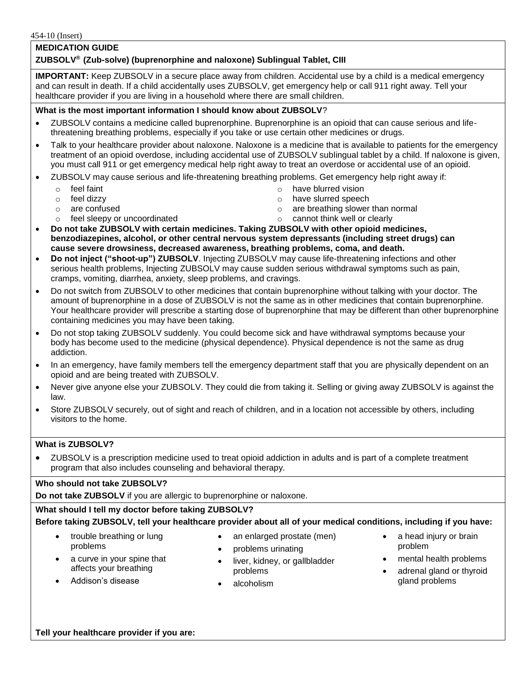## **MEDICATION GUIDE**

# **ZUBSOLV® (Zub-solve) (buprenorphine and naloxone) Sublingual Tablet, CIII**

**IMPORTANT:** Keep ZUBSOLV in a secure place away from children. Accidental use by a child is a medical emergency and can result in death. If a child accidentally uses ZUBSOLV, get emergency help or call 911 right away. Tell your healthcare provider if you are living in a household where there are small children.

### **What is the most important information I should know about ZUBSOLV**?

- ZUBSOLV contains a medicine called buprenorphine. Buprenorphine is an opioid that can cause serious and lifethreatening breathing problems, especially if you take or use certain other medicines or drugs.
- Talk to your healthcare provider about naloxone. Naloxone is a medicine that is available to patients for the emergency treatment of an opioid overdose, including accidental use of ZUBSOLV sublingual tablet by a child. If naloxone is given, you must call 911 or get emergency medical help right away to treat an overdose or accidental use of an opioid.
- ZUBSOLV may cause serious and life-threatening breathing problems. Get emergency help right away if:
	- o feel faint
	- o feel dizzy
	- o are confused
	- o feel sleepy or uncoordinated
- o have blurred vision o have slurred speech
- o are breathing slower than normal
- o cannot think well or clearly
- **Do not take ZUBSOLV with certain medicines. Taking ZUBSOLV with other opioid medicines, benzodiazepines, alcohol, or other central nervous system depressants (including street drugs) can cause severe drowsiness, decreased awareness, breathing problems, coma, and death.**
- **Do not inject ("shoot-up") ZUBSOLV**. Injecting ZUBSOLV may cause life-threatening infections and other serious health problems, Injecting ZUBSOLV may cause sudden serious withdrawal symptoms such as pain, cramps, vomiting, diarrhea, anxiety, sleep problems, and cravings.
- Do not switch from ZUBSOLV to other medicines that contain buprenorphine without talking with your doctor. The amount of buprenorphine in a dose of ZUBSOLV is not the same as in other medicines that contain buprenorphine. Your healthcare provider will prescribe a starting dose of buprenorphine that may be different than other buprenorphine containing medicines you may have been taking.
- Do not stop taking ZUBSOLV suddenly. You could become sick and have withdrawal symptoms because your body has become used to the medicine (physical dependence). Physical dependence is not the same as drug addiction.
- In an emergency, have family members tell the emergency department staff that you are physically dependent on an opioid and are being treated with ZUBSOLV.
- Never give anyone else your ZUBSOLV. They could die from taking it. Selling or giving away ZUBSOLV is against the law.
- Store ZUBSOLV securely, out of sight and reach of children, and in a location not accessible by others, including visitors to the home.

#### **What is ZUBSOLV?**

 ZUBSOLV is a prescription medicine used to treat opioid addiction in adults and is part of a complete treatment program that also includes counseling and behavioral therapy.

### **Who should not take ZUBSOLV?**

**Do not take ZUBSOLV** if you are allergic to buprenorphine or naloxone.

## **What should I tell my doctor before taking ZUBSOLV?**

#### **Before taking ZUBSOLV, tell your healthcare provider about all of your medical conditions, including if you have:**

- trouble breathing or lung problems
- an enlarged prostate (men)
- problems urinating
- affects your breathing Addison's disease
- liver, kidney, or gallbladder problems
- a head injury or brain problem
- a curve in your spine that
- alcoholism

 mental health problems • adrenal gland or thyroid

gland problems

**Tell your healthcare provider if you are:**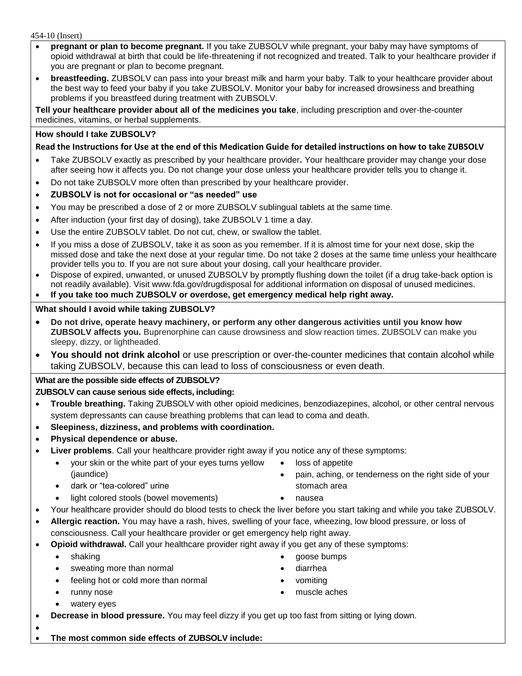454-10 (Insert)

- **pregnant or plan to become pregnant.** If you take ZUBSOLV while pregnant, your baby may have symptoms of opioid withdrawal at birth that could be life-threatening if not recognized and treated. Talk to your healthcare provider if you are pregnant or plan to become pregnant.
- **breastfeeding.** ZUBSOLV can pass into your breast milk and harm your baby. Talk to your healthcare provider about the best way to feed your baby if you take ZUBSOLV. Monitor your baby for increased drowsiness and breathing problems if you breastfeed during treatment with ZUBSOLV.

**Tell your healthcare provider about all of the medicines you take**, including prescription and over-the-counter medicines, vitamins, or herbal supplements.

# **How should I take ZUBSOLV?**

# **Read the Instructions for Use at the end of this Medication Guide for detailed instructions on how to take ZUBSOLV**

- Take ZUBSOLV exactly as prescribed by your healthcare provider**.** Your healthcare provider may change your dose after seeing how it affects you. Do not change your dose unless your healthcare provider tells you to change it.
- Do not take ZUBSOLV more often than prescribed by your healthcare provider.
- **ZUBSOLV is not for occasional or "as needed" use**
- You may be prescribed a dose of 2 or more ZUBSOLV sublingual tablets at the same time.
- After induction (your first day of dosing), take ZUBSOLV 1 time a day.
- Use the entire ZUBSOLV tablet. Do not cut, chew, or swallow the tablet.
- If you miss a dose of ZUBSOLV, take it as soon as you remember. If it is almost time for your next dose, skip the missed dose and take the next dose at your regular time. Do not take 2 doses at the same time unless your healthcare provider tells you to. If you are not sure about your dosing, call your healthcare provider.
- Dispose of expired, unwanted, or unused ZUBSOLV by promptly flushing down the toilet (if a drug take-back option is not readily available). Visit www.fda.gov/drugdisposal for additional information on disposal of unused medicines.

**If you take too much ZUBSOLV or overdose, get emergency medical help right away.**

## **What should I avoid while taking ZUBSOLV?**

- **Do not drive, operate heavy machinery, or perform any other dangerous activities until you know how ZUBSOLV affects you.** Buprenorphine can cause drowsiness and slow reaction times. ZUBSOLV can make you sleepy, dizzy, or lightheaded.
- **You should not drink alcohol** or use prescription or over-the-counter medicines that contain alcohol while taking ZUBSOLV, because this can lead to loss of consciousness or even death.

# **What are the possible side effects of ZUBSOLV? ZUBSOLV can cause serious side effects, including:**

- **Trouble breathing.** Taking ZUBSOLV with other opioid medicines, benzodiazepines, alcohol, or other central nervous system depressants can cause breathing problems that can lead to coma and death.
- **Sleepiness, dizziness, and problems with coordination.**
- **Physical dependence or abuse.**
- **Liver problems**. Call your healthcare provider right away if you notice any of these symptoms:
	- your skin or the white part of your eyes turns yellow (jaundice)
	- dark or "tea-colored" urine
	- light colored stools (bowel movements)  $\bullet$  nausea
- Your healthcare provider should do blood tests to check the liver before you start taking and while you take ZUBSOLV.
- **Allergic reaction.** You may have a rash, hives, swelling of your face, wheezing, low blood pressure, or loss of consciousness. Call your healthcare provider or get emergency help right away.
- **Opioid withdrawal.** Call your healthcare provider right away if you get any of these symptoms:
	-
	- sweating more than normal sweating more than normal
	- feeling hot or cold more than normal values are vomiting
	-
	- watery eyes
	- shaking **goose bumps**

• loss of appetite

stomach area

pain, aching, or tenderness on the right side of your

- 
- 
- runny nose **muscle aches muscle aches**
- **Decrease in blood pressure.** You may feel dizzy if you get up too fast from sitting or lying down.
- $\bullet$ **The most common side effects of ZUBSOLV include:**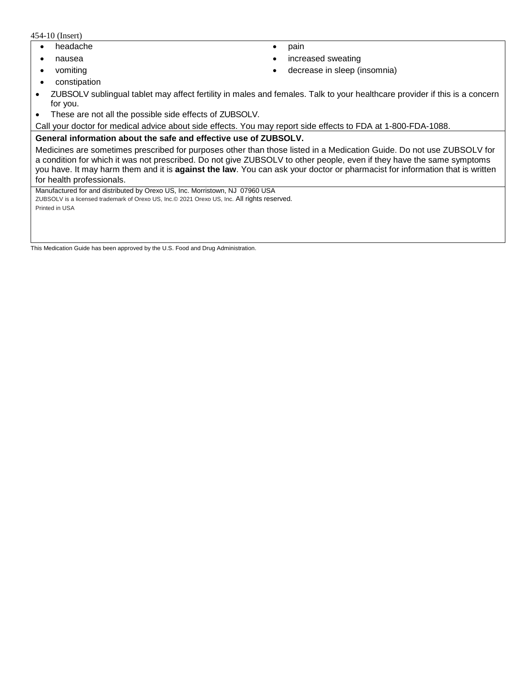454-10 (Insert)

- headache **pain**
- 
- 
- nausea **increased sweating increased sweating**
- vomiting **become in the contract of the contract of the contract of the contract of the contract of the contract of the contract of the contract of the contract of the contract of the contract of the contract of the cont**
- constipation
- ZUBSOLV sublingual tablet may affect fertility in males and females. Talk to your healthcare provider if this is a concern for you.
- These are not all the possible side effects of ZUBSOLV.

Call your doctor for medical advice about side effects. You may report side effects to FDA at 1-800-FDA-1088.

#### **General information about the safe and effective use of ZUBSOLV.**

Medicines are sometimes prescribed for purposes other than those listed in a Medication Guide. Do not use ZUBSOLV for a condition for which it was not prescribed. Do not give ZUBSOLV to other people, even if they have the same symptoms you have. It may harm them and it is **against the law**. You can ask your doctor or pharmacist for information that is written for health professionals.

Manufactured for and distributed by Orexo US, Inc. Morristown, NJ 07960 USA ZUBSOLV is a licensed trademark of Orexo US, Inc.© 2021 Orexo US, Inc. All rights reserved. Printed in USA

This Medication Guide has been approved by the U.S. Food and Drug Administration.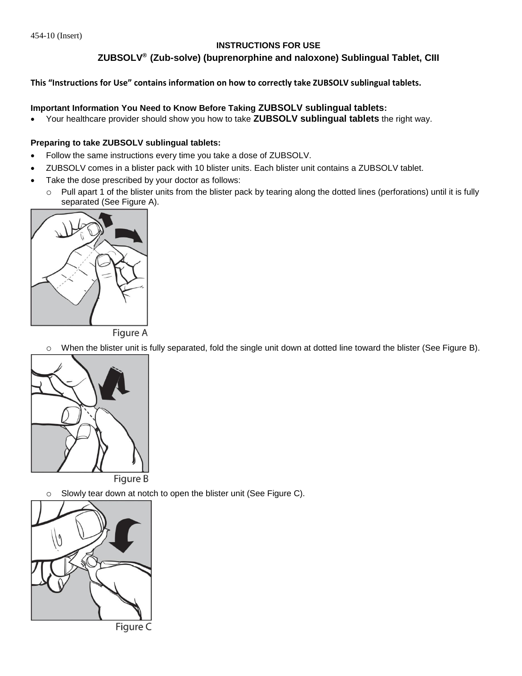## **INSTRUCTIONS FOR USE**

# **ZUBSOLV® (Zub-solve) (buprenorphine and naloxone) Sublingual Tablet, CIII**

### **This "Instructions for Use" contains information on how to correctly take ZUBSOLV sublingual tablets.**

### **Important Information You Need to Know Before Taking ZUBSOLV sublingual tablets:**

Your healthcare provider should show you how to take **ZUBSOLV sublingual tablets** the right way.

#### **Preparing to take ZUBSOLV sublingual tablets:**

- Follow the same instructions every time you take a dose of ZUBSOLV.
- ZUBSOLV comes in a blister pack with 10 blister units. Each blister unit contains a ZUBSOLV tablet.
- Take the dose prescribed by your doctor as follows:
	- o Pull apart 1 of the blister units from the blister pack by tearing along the dotted lines (perforations) until it is fully separated (See Figure A).



**Figure A** 

o When the blister unit is fully separated, fold the single unit down at dotted line toward the blister (See Figure B).



o Slowly tear down at notch to open the blister unit (See Figure C).